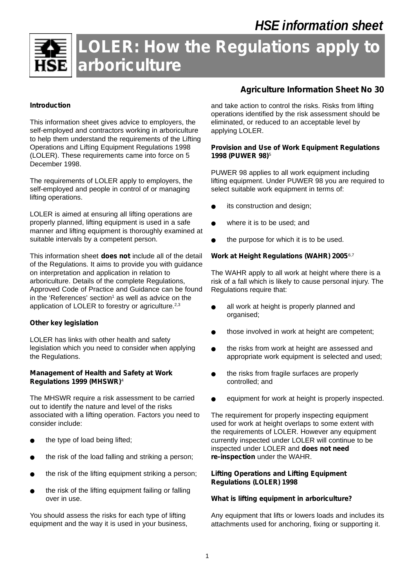

# **LOLER: How the Regulations apply to arboriculture**

## **Introduction**

This information sheet gives advice to employers, the self-employed and contractors working in arboriculture to help them understand the requirements of the Lifting Operations and Lifting Equipment Regulations 1998 (LOLER). These requirements came into force on 5 December 1998.

The requirements of LOLER apply to employers, the self-employed and people in control of or managing lifting operations.

LOLER is aimed at ensuring all lifting operations are properly planned, lifting equipment is used in a safe manner and lifting equipment is thoroughly examined at suitable intervals by a competent person.

This information sheet **does not** include all of the detail of the Regulations. It aims to provide you with guidance on interpretation and application in relation to arboriculture. Details of the complete Regulations, Approved Code of Practice and Guidance can be found in the 'References' section<sup>1</sup> as well as advice on the application of LOLER to forestry or agriculture.<sup>2,3</sup>

## **Other key legislation**

LOLER has links with other health and safety legislation which you need to consider when applying the Regulations.

## *Management of Health and Safety at Work Regulations 1999 (MHSWR)*<sup>4</sup>

The MHSWR require a risk assessment to be carried out to identify the nature and level of the risks associated with a lifting operation. Factors you need to consider include:

- the type of load being lifted;
- the risk of the load falling and striking a person;
- the risk of the lifting equipment striking a person;
- the risk of the lifting equipment failing or falling over in use.

You should assess the risks for each type of lifting equipment and the way it is used in your business,

## **Agriculture Information Sheet No 30**

and take action to control the risks. Risks from lifting operations identified by the risk assessment should be eliminated, or reduced to an acceptable level by applying LOLER.

### *Provision and Use of Work Equipment Regulations 1998 (PUWER 98)*<sup>5</sup>

PUWER 98 applies to all work equipment including lifting equipment. Under PUWER 98 you are required to select suitable work equipment in terms of:

- its construction and design;
- where it is to be used; and
- the purpose for which it is to be used.

## *Work at Height Regulations (WAHR) 2005*6,7

The WAHR apply to all work at height where there is a risk of a fall which is likely to cause personal injury. The Regulations require that:

- all work at height is properly planned and organised;
- those involved in work at height are competent;
- the risks from work at height are assessed and appropriate work equipment is selected and used;
- the risks from fragile surfaces are properly controlled; and
- equipment for work at height is properly inspected.

The requirement for properly inspecting equipment used for work at height overlaps to some extent with the requirements of LOLER. However any equipment currently inspected under LOLER will continue to be inspected under LOLER and **does not need re-inspection** under the WAHR.

## **Lifting Operations and Lifting Equipment Regulations (LOLER) 1998**

## *What is lifting equipment in arboriculture?*

Any equipment that lifts or lowers loads and includes its attachments used for anchoring, fixing or supporting it.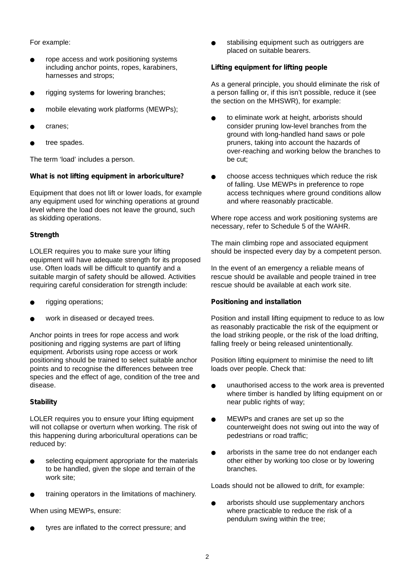## For example:

- rope access and work positioning systems including anchor points, ropes, karabiners, harnesses and strops;
- rigging systems for lowering branches;
- mobile elevating work platforms (MEWPs);
- cranes;
- tree spades.

The term 'load' includes a person.

## *What is not lifting equipment in arboriculture?*

Equipment that does not lift or lower loads, for example any equipment used for winching operations at ground level where the load does not leave the ground, such as skidding operations.

## *Strength*

LOLER requires you to make sure your lifting equipment will have adequate strength for its proposed use. Often loads will be difficult to quantify and a suitable margin of safety should be allowed. Activities requiring careful consideration for strength include:

- rigging operations;
- work in diseased or decayed trees.

Anchor points in trees for rope access and work positioning and rigging systems are part of lifting equipment. Arborists using rope access or work positioning should be trained to select suitable anchor points and to recognise the differences between tree species and the effect of age, condition of the tree and disease.

## *Stability*

LOLER requires you to ensure your lifting equipment will not collapse or overturn when working. The risk of this happening during arboricultural operations can be reduced by:

- selecting equipment appropriate for the materials to be handled, given the slope and terrain of the work site;
- training operators in the limitations of machinery.

When using MEWPs, ensure:

tyres are inflated to the correct pressure; and

stabilising equipment such as outriggers are placed on suitable bearers.

## *Lifting equipment for lifting people*

As a general principle, you should eliminate the risk of a person falling or, if this isn't possible, reduce it (see the section on the MHSWR), for example:

- to eliminate work at height, arborists should consider pruning low-level branches from the ground with long-handled hand saws or pole pruners, taking into account the hazards of over-reaching and working below the branches to be cut;
- choose access techniques which reduce the risk of falling. Use MEWPs in preference to rope access techniques where ground conditions allow and where reasonably practicable.

Where rope access and work positioning systems are necessary, refer to Schedule 5 of the WAHR.

The main climbing rope and associated equipment should be inspected every day by a competent person.

In the event of an emergency a reliable means of rescue should be available and people trained in tree rescue should be available at each work site.

## *Positioning and installation*

Position and install lifting equipment to reduce to as low as reasonably practicable the risk of the equipment or the load striking people, or the risk of the load drifting, falling freely or being released unintentionally.

Position lifting equipment to minimise the need to lift loads over people. Check that:

- unauthorised access to the work area is prevented where timber is handled by lifting equipment on or near public rights of way;
- MEWPs and cranes are set up so the counterweight does not swing out into the way of pedestrians or road traffic;
- arborists in the same tree do not endanger each other either by working too close or by lowering branches.

Loads should not be allowed to drift, for example:

arborists should use supplementary anchors where practicable to reduce the risk of a pendulum swing within the tree;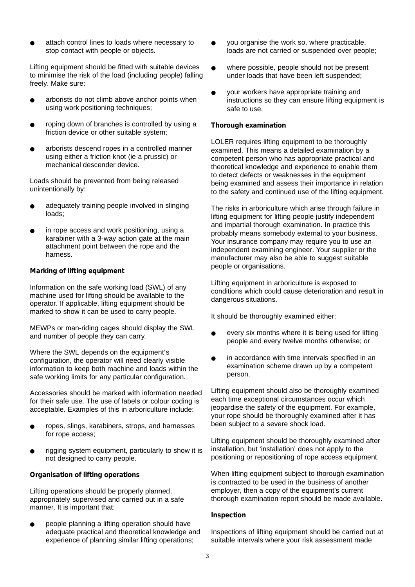attach control lines to loads where necessary to stop contact with people or objects.

Lifting equipment should be fitted with suitable devices to minimise the risk of the load (including people) falling freely. Make sure:

- arborists do not climb above anchor points when using work positioning techniques;
- roping down of branches is controlled by using a friction device or other suitable system;
- arborists descend ropes in a controlled manner using either a friction knot (ie a prussic) or mechanical descender device.

Loads should be prevented from being released unintentionally by:

- adequately training people involved in slinging loads;
- in rope access and work positioning, using a karabiner with a 3-way action gate at the main attachment point between the rope and the harness.

#### *Marking of lifting equipment*

Information on the safe working load (SWL) of any machine used for lifting should be available to the operator. If applicable, lifting equipment should be marked to show it can be used to carry people.

MEWPs or man-riding cages should display the SWL and number of people they can carry.

Where the SWL depends on the equipment's configuration, the operator will need clearly visible information to keep both machine and loads within the safe working limits for any particular configuration.

Accessories should be marked with information needed for their safe use. The use of labels or colour coding is acceptable. Examples of this in arboriculture include:

- ropes, slings, karabiners, strops, and harnesses for rope access;
- rigging system equipment, particularly to show it is not designed to carry people.

#### *Organisation of lifting operations*

Lifting operations should be properly planned, appropriately supervised and carried out in a safe manner. It is important that:

people planning a lifting operation should have adequate practical and theoretical knowledge and experience of planning similar lifting operations;

- you organise the work so, where practicable, loads are not carried or suspended over people;
- where possible, people should not be present under loads that have been left suspended;
- your workers have appropriate training and instructions so they can ensure lifting equipment is safe to use.

#### *Thorough examination*

LOLER requires lifting equipment to be thoroughly examined. This means a detailed examination by a competent person who has appropriate practical and theoretical knowledge and experience to enable them to detect defects or weaknesses in the equipment being examined and assess their importance in relation to the safety and continued use of the lifting equipment.

The risks in arboriculture which arise through failure in lifting equipment for lifting people justify independent and impartial thorough examination. In practice this probably means somebody external to your business. Your insurance company may require you to use an independent examining engineer. Your supplier or the manufacturer may also be able to suggest suitable people or organisations.

Lifting equipment in arboriculture is exposed to conditions which could cause deterioration and result in dangerous situations.

It should be thoroughly examined either:

- every six months where it is being used for lifting people and every twelve months otherwise; or
- in accordance with time intervals specified in an examination scheme drawn up by a competent person.

Lifting equipment should also be thoroughly examined each time exceptional circumstances occur which jeopardise the safety of the equipment. For example, your rope should be thoroughly examined after it has been subject to a severe shock load.

Lifting equipment should be thoroughly examined after installation, but 'installation' does not apply to the positioning or repositioning of rope access equipment.

When lifting equipment subject to thorough examination is contracted to be used in the business of another employer, then a copy of the equipment's current thorough examination report should be made available.

### *Inspection*

Inspections of lifting equipment should be carried out at suitable intervals where your risk assessment made